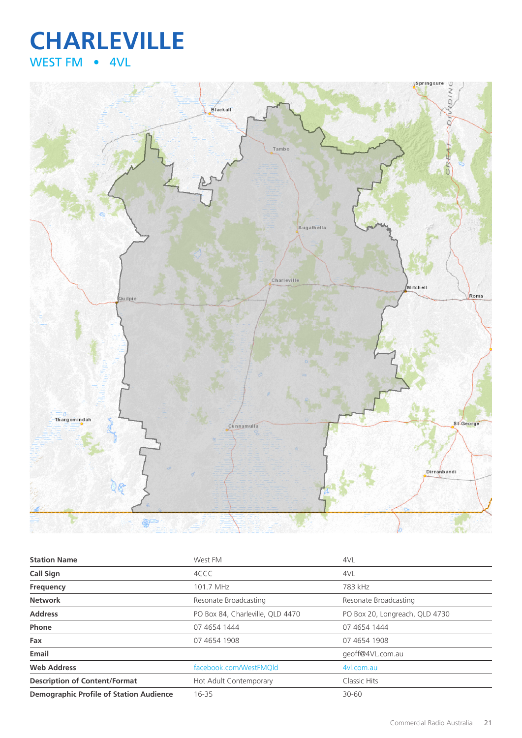## **CHARLEVILLE** WEST FM • 4VL



| <b>Station Name</b>                            | West FM                          | 4VL                            |
|------------------------------------------------|----------------------------------|--------------------------------|
| <b>Call Sign</b>                               | 4CCC                             | 4VL                            |
| Frequency                                      | 101.7 MHz                        | 783 kHz                        |
| <b>Network</b>                                 | Resonate Broadcasting            | Resonate Broadcasting          |
| <b>Address</b>                                 | PO Box 84, Charleville, QLD 4470 | PO Box 20, Longreach, QLD 4730 |
| Phone                                          | 07 4654 1444                     | 07 4654 1444                   |
| Fax                                            | 07 4654 1908                     | 07 4654 1908                   |
| Email                                          |                                  | geoff@4VL.com.au               |
| <b>Web Address</b>                             | facebook.com/WestFMQld           | 4vl.com.au                     |
| <b>Description of Content/Format</b>           | Hot Adult Contemporary           | Classic Hits                   |
| <b>Demographic Profile of Station Audience</b> | 16-35                            | $30 - 60$                      |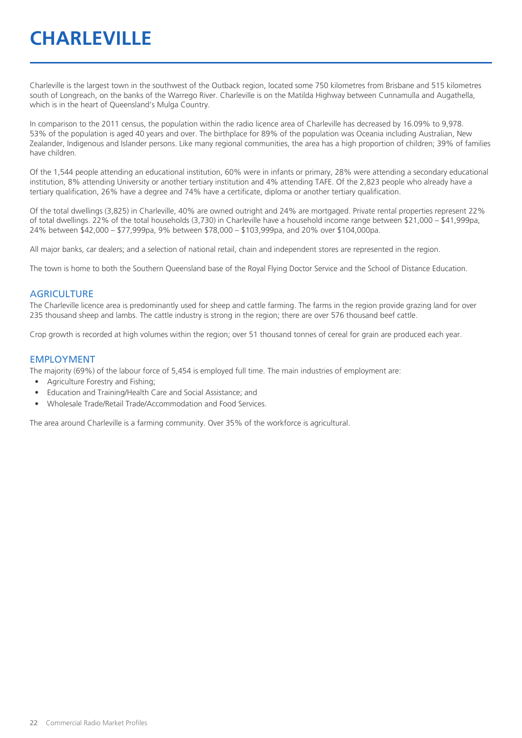## **CHARLEVILLE**

Charleville is the largest town in the southwest of the Outback region, located some 750 kilometres from Brisbane and 515 kilometres south of Longreach, on the banks of the Warrego River. Charleville is on the Matilda Highway between Cunnamulla and Augathella, which is in the heart of Queensland's Mulga Country.

In comparison to the 2011 census, the population within the radio licence area of Charleville has decreased by 16.09% to 9,978. 53% of the population is aged 40 years and over. The birthplace for 89% of the population was Oceania including Australian, New Zealander, Indigenous and Islander persons. Like many regional communities, the area has a high proportion of children; 39% of families have children.

Of the 1,544 people attending an educational institution, 60% were in infants or primary, 28% were attending a secondary educational institution, 8% attending University or another tertiary institution and 4% attending TAFE. Of the 2,823 people who already have a tertiary qualification, 26% have a degree and 74% have a certificate, diploma or another tertiary qualification.

Of the total dwellings (3,825) in Charleville, 40% are owned outright and 24% are mortgaged. Private rental properties represent 22% of total dwellings. 22% of the total households (3,730) in Charleville have a household income range between \$21,000 – \$41,999pa, 24% between \$42,000 – \$77,999pa, 9% between \$78,000 – \$103,999pa, and 20% over \$104,000pa.

All major banks, car dealers; and a selection of national retail, chain and independent stores are represented in the region.

The town is home to both the Southern Queensland base of the Royal Flying Doctor Service and the School of Distance Education.

#### **AGRICULTURE**

The Charleville licence area is predominantly used for sheep and cattle farming. The farms in the region provide grazing land for over 235 thousand sheep and lambs. The cattle industry is strong in the region; there are over 576 thousand beef cattle.

Crop growth is recorded at high volumes within the region; over 51 thousand tonnes of cereal for grain are produced each year.

#### EMPLOYMENT

The majority (69%) of the labour force of 5,454 is employed full time. The main industries of employment are:

- Agriculture Forestry and Fishing;
- Education and Training/Health Care and Social Assistance; and
- Wholesale Trade/Retail Trade/Accommodation and Food Services.

The area around Charleville is a farming community. Over 35% of the workforce is agricultural.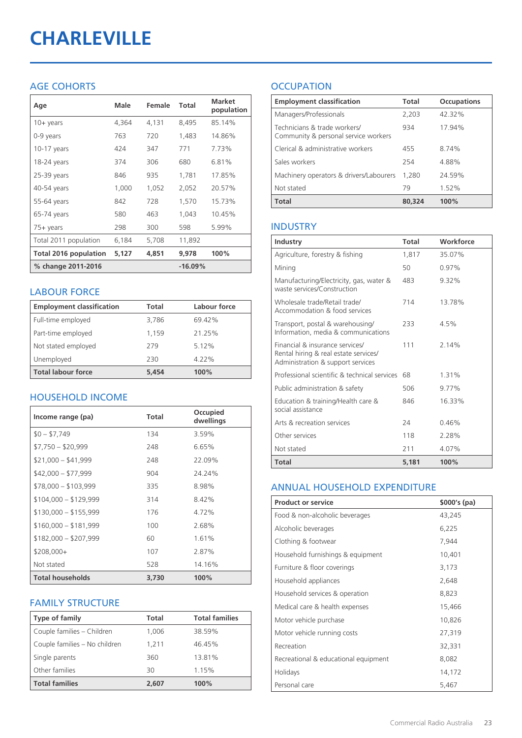# **CHARLEVILLE**

### AGE COHORTS

| Age                          | Male  | Female | Total     | <b>Market</b><br>population |
|------------------------------|-------|--------|-----------|-----------------------------|
| $10 + \gamma$ ears           | 4,364 | 4,131  | 8,495     | 85.14%                      |
| 0-9 years                    | 763   | 720    | 1,483     | 14.86%                      |
| $10-17$ years                | 424   | 347    | 771       | 7.73%                       |
| 18-24 years                  | 374   | 306    | 680       | 6.81%                       |
| 25-39 years                  | 846   | 935    | 1,781     | 17.85%                      |
| 40-54 years                  | 1,000 | 1,052  | 2,052     | 20.57%                      |
| 55-64 years                  | 842   | 728    | 1,570     | 15.73%                      |
| 65-74 years                  | 580   | 463    | 1.043     | 10.45%                      |
| 75+ years                    | 298   | 300    | 598       | 5.99%                       |
| Total 2011 population        | 6,184 | 5,708  | 11,892    |                             |
| <b>Total 2016 population</b> | 5,127 | 4,851  | 9,978     | 100%                        |
| % change 2011-2016           |       |        | $-16.09%$ |                             |

#### LABOUR FORCE

| <b>Employment classification</b> | Total | Labour force |
|----------------------------------|-------|--------------|
| Full-time employed               | 3,786 | 69.42%       |
| Part-time employed               | 1,159 | 21.25%       |
| Not stated employed              | 279   | 5.12%        |
| Unemployed                       | 230   | $4.22\%$     |
| <b>Total labour force</b>        | 5.454 | 100%         |

#### HOUSEHOLD INCOME

| Income range (pa)       | Total | Occupied<br>dwellings |
|-------------------------|-------|-----------------------|
| $$0 - $7,749$           | 134   | 3.59%                 |
| $$7,750 - $20,999$      | 248   | 6.65%                 |
| $$21,000 - $41,999$     | 248   | 22.09%                |
| $$42,000 - $77,999$     | 904   | 24.24%                |
| $$78,000 - $103,999$    | 335   | 8.98%                 |
| $$104,000 - $129,999$   | 314   | 8.42%                 |
| $$130,000 - $155,999$   | 176   | 4.72%                 |
| $$160,000 - $181,999$   | 100   | 2.68%                 |
| $$182,000 - $207,999$   | 60    | 1.61%                 |
| $$208,000+$             | 107   | 2.87%                 |
| Not stated              | 528   | 14.16%                |
| <b>Total households</b> | 3,730 | 100%                  |

#### FAMILY STRUCTURE

| <b>Type of family</b>         | Total | <b>Total families</b> |
|-------------------------------|-------|-----------------------|
| Couple families - Children    | 1,006 | 38.59%                |
| Couple families - No children | 1.211 | 46.45%                |
| Single parents                | 360   | 13.81%                |
| Other families                | 30    | 1.15%                 |
| <b>Total families</b>         | 2,607 | 100%                  |

### **OCCUPATION**

| <b>Employment classification</b>                                     | Total  | <b>Occupations</b> |
|----------------------------------------------------------------------|--------|--------------------|
| Managers/Professionals                                               | 2,203  | 42.32%             |
| Technicians & trade workers/<br>Community & personal service workers | 934    | 17.94%             |
| Clerical & administrative workers                                    | 455    | 8.74%              |
| Sales workers                                                        | 254    | 4.88%              |
| Machinery operators & drivers/Labourers                              | 1.280  | 24.59%             |
| Not stated                                                           | 79     | 1.52%              |
| <b>Total</b>                                                         | 80,324 | 100%               |

#### INDUSTRY

| Industry                                                                                                      | Total | Workforce |
|---------------------------------------------------------------------------------------------------------------|-------|-----------|
| Agriculture, forestry & fishing                                                                               | 1,817 | 35.07%    |
| Mining                                                                                                        | 50    | 0.97%     |
| Manufacturing/Electricity, gas, water &<br>waste services/Construction                                        | 483   | 9.32%     |
| Wholesale trade/Retail trade/<br>Accommodation & food services                                                | 714   | 13.78%    |
| Transport, postal & warehousing/<br>Information, media & communications                                       | 233   | 4.5%      |
| Financial & insurance services/<br>Rental hiring & real estate services/<br>Administration & support services | 111   | 2.14%     |
| Professional scientific & technical services                                                                  | 68    | 1.31%     |
| Public administration & safety                                                                                | 506   | 9.77%     |
| Education & training/Health care &<br>social assistance                                                       | 846   | 16.33%    |
| Arts & recreation services                                                                                    | 74    | 0.46%     |
| Other services                                                                                                | 118   | 228%      |
| Not stated                                                                                                    | 211   | 4.07%     |
| Total                                                                                                         | 5,181 | 100%      |

#### ANNUAL HOUSEHOLD EXPENDITURE

| <b>Product or service</b>            | $$000's$ (pa) |
|--------------------------------------|---------------|
| Food & non-alcoholic beverages       | 43,245        |
| Alcoholic beverages                  | 6,225         |
| Clothing & footwear                  | 7,944         |
| Household furnishings & equipment    | 10,401        |
| Furniture & floor coverings          | 3,173         |
| Household appliances                 | 2,648         |
| Household services & operation       | 8,823         |
| Medical care & health expenses       | 15,466        |
| Motor vehicle purchase               | 10,826        |
| Motor vehicle running costs          | 27,319        |
| Recreation                           | 32,331        |
| Recreational & educational equipment | 8,082         |
| Holidays                             | 14,172        |
| Personal care                        | 5,467         |